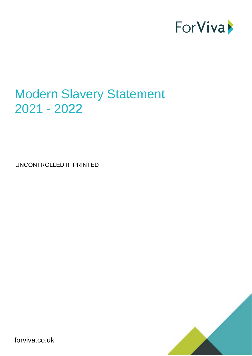

# Modern Slavery Statement 2021 - 2022

UNCONTROLLED IF PRINTED



forviva.co.uk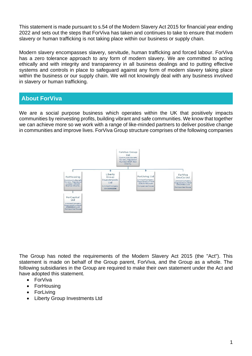This statement is made pursuant to s.54 of the Modern Slavery Act 2015 for financial year ending 2022 and sets out the steps that ForViva has taken and continues to take to ensure that modern slavery or human trafficking is not taking place within our business or supply chain.

Modern slavery encompasses slavery, servitude, human trafficking and forced labour. ForViva has a zero tolerance approach to any form of modern slavery. We are committed to acting ethically and with integrity and transparency in all business dealings and to putting effective systems and controls in place to safeguard against any form of modern slavery taking place within the business or our supply chain. We will not knowingly deal with any business involved in slavery or human trafficking.

### **About ForViva**

We are a social purpose business which operates within the UK that positively impacts communities by reinvesting profits, building vibrant and safe communities. We know that together we can achieve more so we work with a range of like-minded partners to deliver positive change in communities and improve lives. ForViva Group structure comprises of the following companies



The Group has noted the requirements of the Modern Slavery Act 2015 (the "Act"). This statement is made on behalf of the Group parent, ForViva, and the Group as a whole. The following subsidiaries in the Group are required to make their own statement under the Act and have adopted this statement.

- ForViva
- ForHousing
- ForLiving
- Liberty Group Investments Ltd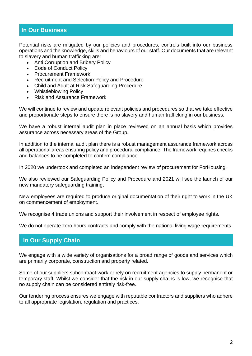#### **In Our Business**

Potential risks are mitigated by our policies and procedures, controls built into our business operations and the knowledge, skills and behaviours of our staff. Our documents that are relevant to slavery and human trafficking are:

- Anti Corruption and Bribery Policy
- Code of Conduct Policy
- Procurement Framework
- Recruitment and Selection Policy and Procedure
- Child and Adult at Risk Safeguarding Procedure
- Whistleblowing Policy
- Risk and Assurance Framework

We will continue to review and update relevant policies and procedures so that we take effective and proportionate steps to ensure there is no slavery and human trafficking in our business.

We have a robust internal audit plan in place reviewed on an annual basis which provides assurance across necessary areas of the Group.

In addition to the internal audit plan there is a robust management assurance framework across all operational areas ensuring policy and procedural compliance. The framework requires checks and balances to be completed to confirm compliance.

In 2020 we undertook and completed an independent review of procurement for ForHousing.

We also reviewed our Safeguarding Policy and Procedure and 2021 will see the launch of our new mandatory safeguarding training.

New employees are required to produce original documentation of their right to work in the UK on commencement of employment.

We recognise 4 trade unions and support their involvement in respect of employee rights.

We do not operate zero hours contracts and comply with the national living wage requirements.

### **In Our Supply Chain**

We engage with a wide variety of organisations for a broad range of goods and services which are primarily corporate, construction and property related.

Some of our suppliers subcontract work or rely on recruitment agencies to supply permanent or temporary staff. Whilst we consider that the risk in our supply chains is low, we recognise that no supply chain can be considered entirely risk-free.

Our tendering process ensures we engage with reputable contractors and suppliers who adhere to all appropriate legislation, regulation and practices.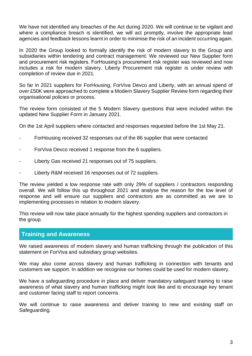We have not identified any breaches of the Act during 2020. We will continue to be vigilant and where a compliance breach is identified, we will act promptly, involve the appropriate lead agencies and feedback lessons learnt in order to minimise the risk of an incident occurring again.

In 2020 the Group looked to formally identify the risk of modern slavery to the Group and subsidiaries within tendering and contract management. We reviewed our New Supplier form and procurement risk registers. ForHousing's procurement risk register was reviewed and now includes a risk for modern slavery. Liberty Procurement risk register is under review with completion of review due in 2021.

So far in 2021 suppliers for ForHousing, ForViva Devco and Liberty, with an annual spend of over £50K were approached to complete a Modern Slavery Supplier Review form regarding their organisational policies or process.

The review form consisted of the 5 Modern Slavery questions that were included within the updated New Supplier Form in January 2021.

On the 1st April suppliers where contacted and responses requested before the 1st May 21.

- ForHousing received 32 responses out of the 86 supplier that were contacted
- For Viva Devco received 1 response from the 6 suppliers.
- Liberty Gas received 21 responses out of 75 suppliers.
- Liberty R&M received 16 responses out of 72 suppliers.

The review yielded a low response rate with only 29% of suppliers / contractors responding overall. We will follow this up throughout 2021 and analyse the reason for the low level of response and will ensure our suppliers and contractors are as committed as we are to implementing processes in relation to modern slavery.

This review will now take place annually for the highest spending suppliers and contractors in the group.

#### **Training and Awareness**

We raised awareness of modern slavery and human trafficking through the publication of this statement on ForViva and subsidiary group websites.

We may also come across slavery and human trafficking in connection with tenants and customers we support. In addition we recognise our homes could be used for modern slavery.

We have a safeguarding procedure in place and deliver mandatory safeguard training to raise awareness of what slavery and human trafficking might look like and to encourage key tenant and customer facing staff to report concerns.

We will continue to raise awareness and deliver training to new and existing staff on Safeguarding.